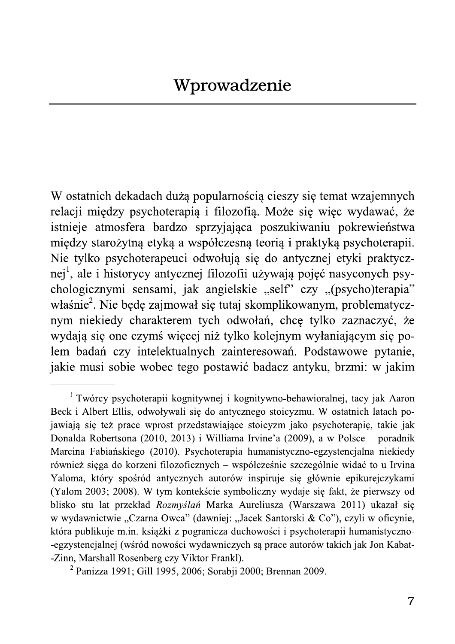W ostatnich dekadach dużą popularnością cieszy się temat wzajemnych relacji między psychoterapią i filozofią. Może się więc wydawać, że istnieje atmosfera bardzo sprzyjająca poszukiwaniu pokrewieństwa między starożytną etyką a współczesną teorią i praktyką psychoterapii. Nie tylko psychoterapeuci odwołują się do antycznej etyki praktycznej<sup>1</sup>, ale i historycy antycznej filozofii używają pojęć nasyconych psychologicznymi sensami, jak angielskie "self" czy "(psycho)terapia" właśnie<sup>2</sup>. Nie będę zajmował się tutaj skomplikowanym, problematycznym niekiedy charakterem tych odwołań, chcę tylko zaznaczyć, że wydają się one czymś więcej niż tylko kolejnym wyłaniającym się polem badań czy intelektualnych zainteresowań. Podstawowe pytanie, jakie musi sobie wobec tego postawić badacz antyku, brzmi: w jakim

<sup>&</sup>lt;sup>1</sup> Twórcy psychoterapii kognitywnej i kognitywno-behawioralnej, tacy jak Aaron Beck i Albert Ellis, odwoływali się do antycznego stoicyzmu. W ostatnich latach pojawiają się też prace wprost przedstawiające stoicyzm jako psychoterapię, takie jak Donalda Robertsona (2010, 2013) i Williama Irvine'a (2009), a w Polsce – poradnik Marcina Fabiańskiego (2010). Psychoterapia humanistyczno-egzystencjalna niekiedy również sięga do korzeni filozoficznych – współcześnie szczególnie widać to u Irvina Yaloma, który spośród antycznych autorów inspiruje się głównie epikurejczykami (Yalom 2003; 2008). W tym kontekście symboliczny wydaje się fakt, że pierwszy od blisko stu lat przekład Rozmyślań Marka Aureliusza (Warszawa 2011) ukazał się w wydawnictwie "Czarna Owca" (dawniej: "Jacek Santorski & Co"), czyli w oficynie, która publikuje m.in. książki z pogranicza duchowości i psychoterapii humanistyczno--egzystencjalnej (wśród nowości wydawniczych są prace autorów takich jak Jon Kabat--Zinn, Marshall Rosenberg czy Viktor Frankl).

<sup>&</sup>lt;sup>2</sup> Panizza 1991; Gill 1995, 2006; Sorabji 2000; Brennan 2009.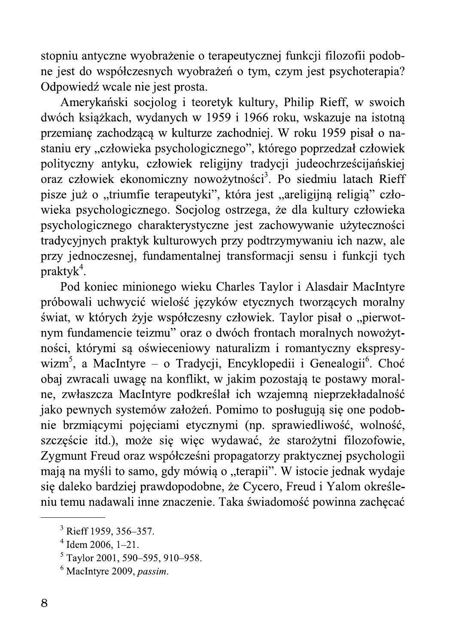stopniu antyczne wyobrażenie o terapeutycznej funkcji filozofii podobne jest do współczesnych wyobrażeń o tym, czym jest psychoterapia? Odpowiedź wcale nie jest prosta.

Amerykański socjolog i teoretyk kultury, Philip Rieff, w swoich dwóch książkach, wydanych w 1959 i 1966 roku, wskazuje na istotna przemianę zachodzącą w kulturze zachodniej. W roku 1959 pisał o nastaniu ery "człowieka psychologicznego", którego poprzedzał człowiek polityczny antyku, człowiek religijny tradycji judeochrześcijańskiej oraz człowiek ekonomiczny nowożytności<sup>3</sup>. Po siedmiu latach Rieff pisze już o "triumfie terapeutyki", która jest "areligijną religią" człowieka psychologicznego. Socjolog ostrzega, że dla kultury człowieka psychologicznego charakterystyczne jest zachowywanie użyteczności tradycyjnych praktyk kulturowych przy podtrzymywaniu ich nazw, ale przy jednoczesnej, fundamentalnej transformacji sensu i funkcji tych  $praktyk<sup>4</sup>$ .

Pod koniec minionego wieku Charles Taylor i Alasdair MacIntyre próbowali uchwycić wielość języków etycznych tworzących moralny świat, w których żyje współczesny człowiek. Taylor pisał o "pierwotnym fundamencie teizmu" oraz o dwóch frontach moralnych nowożytności, którymi sa oświeceniowy naturalizm i romantyczny ekspresywizm<sup>5</sup>, a MacIntyre – o Tradycji, Encyklopedii i Genealogii<sup>6</sup>. Choć obaj zwracali uwagę na konflikt, w jakim pozostają te postawy moralne, zwłaszcza MacIntyre podkreślał ich wzajemną nieprzekładalność jako pewnych systemów założeń. Pomimo to posługują się one podobnie brzmiącymi pojęciami etycznymi (np. sprawiedliwość, wolność, szczęście itd.), może się więc wydawać, że starożytni filozofowie, Zygmunt Freud oraz współcześni propagatorzy praktycznej psychologii mają na myśli to samo, gdy mówią o "terapii". W istocie jednak wydaje się daleko bardziej prawdopodobne, że Cycero, Freud i Yalom określeniu temu nadawali inne znaczenie. Taka świadomość powinna zachęcać

<sup>&</sup>lt;sup>3</sup> Rieff 1959, 356–357.

 $4$  Idem 2006, 1-21.

 $5$  Taylor 2001, 590–595, 910–958.

 $6$  MacIntyre 2009, *passim*.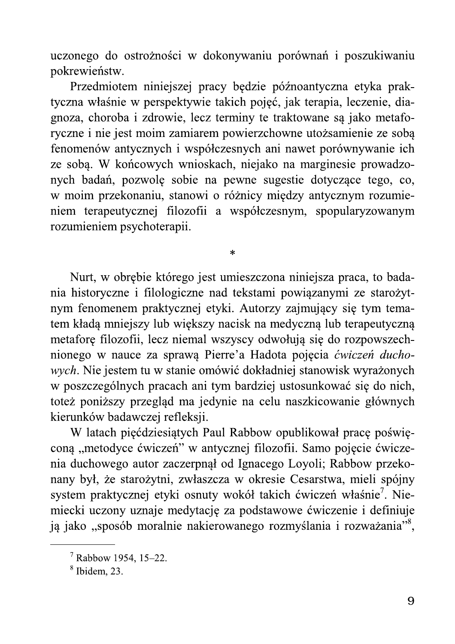uczonego do ostrożności w dokonywaniu porównań i poszukiwaniu pokrewieństw.

Przedmiotem niniejszej pracy będzie późnoantyczna etyka praktyczna właśnie w perspektywie takich pojęć, jak terapia, leczenie, diagnoza, choroba i zdrowie, lecz terminy te traktowane są jako metaforyczne i nie jest moim zamiarem powierzchowne utożsamienie ze sobą fenomenów antycznych i współczesnych ani nawet porównywanie ich ze sobą. W końcowych wnioskach, niejako na marginesie prowadzonych badań, pozwolę sobie na pewne sugestie dotyczące tego, co, w moim przekonaniu, stanowi o różnicy między antycznym rozumieniem terapeutycznej filozofii a współczesnym, spopularyzowanym rozumieniem psychoterapii.

 $\ast$ 

Nurt, w obrębie którego jest umieszczona niniejsza praca, to badania historyczne i filologiczne nad tekstami powiązanymi ze starożytnym fenomenem praktycznej etyki. Autorzy zajmujący się tym tematem kładą mniejszy lub większy nacisk na medyczną lub terapeutyczną metafore filozofii, lecz niemal wszyscy odwołują się do rozpowszechnionego w nauce za sprawą Pierre'a Hadota pojęcia ćwiczeń duchowych. Nie jestem tu w stanie omówić dokładniej stanowisk wyrażonych w poszczególnych pracach ani tym bardziej ustosunkować się do nich, toteż poniższy przegląd ma jedynie na celu naszkicowanie głównych kierunków badawczej refleksji.

W latach pięćdziesiątych Paul Rabbow opublikował pracę poświęcona "metodyce ćwiczeń" w antycznej filozofii. Samo pojęcie ćwiczenia duchowego autor zaczerpnął od Ignacego Loyoli; Rabbow przekonany był, że starożytni, zwłaszcza w okresie Cesarstwa, mieli spójny system praktycznej etyki osnuty wokół takich ćwiczeń właśnie<sup>7</sup>. Niemiecki uczony uznaje medytację za podstawowe ćwiczenie i definiuje ją jako "sposób moralnie nakierowanego rozmyślania i rozważania"<sup>8</sup>,

 $7$  Rabbow 1954, 15-22.

 $8$  Ibidem, 23.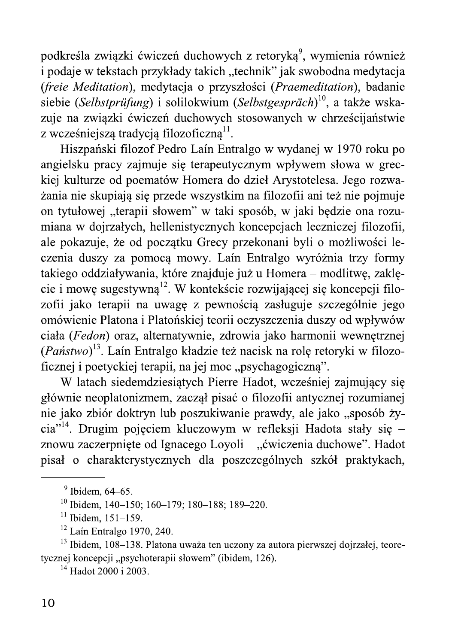podkreśla związki ćwiczeń duchowych z retoryką<sup>9</sup>, wymienia również i podaje w tekstach przykłady takich "technik" jak swobodna medytacja (freie Meditation), medytacja o przyszłości (Praemeditation), badanie siebie (Selbstprüfung) i solilokwium (Selbstgespräch)<sup>10</sup>, a także wskazuje na związki ćwiczeń duchowych stosowanych w chrześcijaństwie z wcześniejszą tradycją filozoficzną<sup>11</sup>.

Hiszpański filozof Pedro Laín Entralgo w wydanej w 1970 roku po angielsku pracy zajmuje się terapeutycznym wpływem słowa w greckiej kulturze od poematów Homera do dzieł Arystotelesa. Jego rozważania nie skupiają się przede wszystkim na filozofii ani też nie pojmuje on tytułowej "terapii słowem" w taki sposób, w jaki będzie ona rozumiana w dojrzałych, hellenistycznych koncepcjach leczniczej filozofii, ale pokazuje, że od początku Grecy przekonani byli o możliwości leczenia duszy za pomocą mowy. Laín Entralgo wyróżnia trzy formy takiego oddziaływania, które znajduje już u Homera – modlitwę, zaklęcie i mowę sugestywną<sup>12</sup>. W kontekście rozwijającej się koncepcji filozofii jako terapii na uwagę z pewnością zasługuje szczególnie jego omówienie Platona i Platońskiej teorii oczyszczenia duszy od wpływów ciała (Fedon) oraz, alternatywnie, zdrowia jako harmonii wewnętrznej (Państwo)<sup>13</sup>. Laín Entralgo kładzie też nacisk na rolę retoryki w filozoficznej i poetyckiej terapii, na jej moc "psychagogiczną".

W latach siedemdziesiątych Pierre Hadot, wcześniej zajmujący się głównie neoplatonizmem, zaczął pisać o filozofii antycznej rozumianej nie jako zbiór doktryn lub poszukiwanie prawdy, ale jako "sposób życia"<sup>14</sup>. Drugim pojęciem kluczowym w refleksji Hadota stały się – znowu zaczerpnięte od Ignacego Loyoli – "ćwiczenia duchowe". Hadot pisał o charakterystycznych dla poszczególnych szkół praktykach,

<sup>13</sup> Ibidem, 108-138. Platona uważa ten uczony za autora pierwszej dojrzałej, teoretycznej koncepcji "psychoterapii słowem" (ibidem, 126).

 $14$  Hadot 2000 i 2003.

 $9$  Ibidem, 64–65.

<sup>&</sup>lt;sup>10</sup> Ibidem, 140-150; 160-179; 180-188; 189-220.

 $11$  Ibidem, 151-159.

 $12$  Laín Entralgo 1970. 240.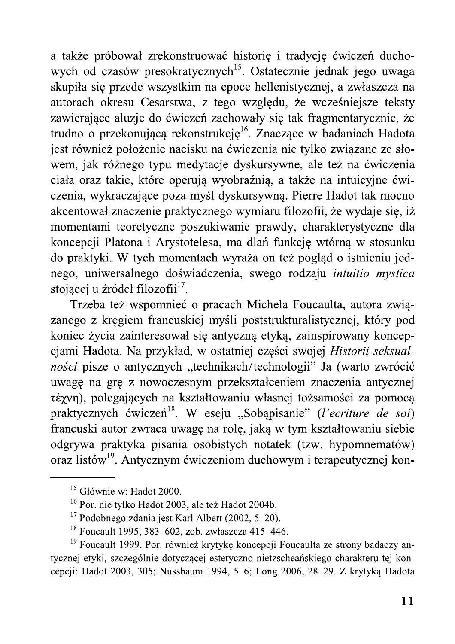a także próbował zrekonstruować historie i tradycje ćwiczeń duchowych od czasów presokratycznych<sup>15</sup>. Ostatecznie jednak jego uwaga skupiła się przede wszystkim na epoce hellenistycznej, a zwłaszcza na autorach okresu Cesarstwa, z tego względu, że wcześniejsze teksty zawierające aluzje do ćwiczeń zachowały się tak fragmentarycznie, że trudno o przekonującą rekonstrukcję<sup>16</sup>. Znaczące w badaniach Hadota jest również położenie nacisku na ćwiczenia nie tylko związane ze słowem, jak różnego typu medytacje dyskursywne, ale też na ćwiczenia ciała oraz takie, które operują wyobraźnią, a także na intuicyjne ćwiczenia, wykraczające poza myśl dyskursywną. Pierre Hadot tak mocno akcentował znaczenie praktycznego wymiaru filozofii, że wydaje się, iż momentami teoretyczne poszukiwanie prawdy, charakterystyczne dla koncepcji Platona i Arystotelesa, ma dlań funkcję wtórną w stosunku do praktyki. W tych momentach wyraża on też pogląd o istnieniu jednego, uniwersalnego doświadczenia, swego rodzaju *intuitio mystica* stojącej u źródeł filozofii<sup>17</sup>.

Trzeba też wspomnieć o pracach Michela Foucaulta, autora związanego z kręgiem francuskiej myśli poststrukturalistycznej, który pod koniec życia zainteresował się antyczną etyką, zainspirowany koncepcjami Hadota. Na przykład, w ostatniej części swojej Historii seksualności pisze o antycznych "technikach/technologii" Ja (warto zwrócić uwagę na grę z nowoczesnym przekształceniem znaczenia antycznej τέχνη), polegających na kształtowaniu własnej tożsamości za pomocą praktycznych ćwiczeń<sup>18</sup>. W eseju "Sobąpisanie" (l'ecriture de soi) francuski autor zwraca uwagę na rolę, jaką w tym kształtowaniu siebie odgrywa praktyka pisania osobistych notatek (tzw. hypomnematów) oraz listów<sup>19</sup>. Antycznym ćwiczeniom duchowym i terapeutycznej kon-

<sup>&</sup>lt;sup>15</sup> Głównie w: Hadot 2000.

<sup>&</sup>lt;sup>16</sup> Por. nie tylko Hadot 2003, ale też Hadot 2004b.

 $17$  Podobnego zdania jest Karl Albert (2002, 5–20).

<sup>&</sup>lt;sup>18</sup> Foucault 1995, 383–602, zob. zwłaszcza 415–446.

<sup>&</sup>lt;sup>19</sup> Foucault 1999. Por. również krytykę koncepcji Foucaulta ze strony badaczy antycznej etyki, szczególnie dotyczącej estetyczno-nietzscheańskiego charakteru tej koncepcji: Hadot 2003, 305; Nussbaum 1994, 5–6; Long 2006, 28–29. Z krytyką Hadota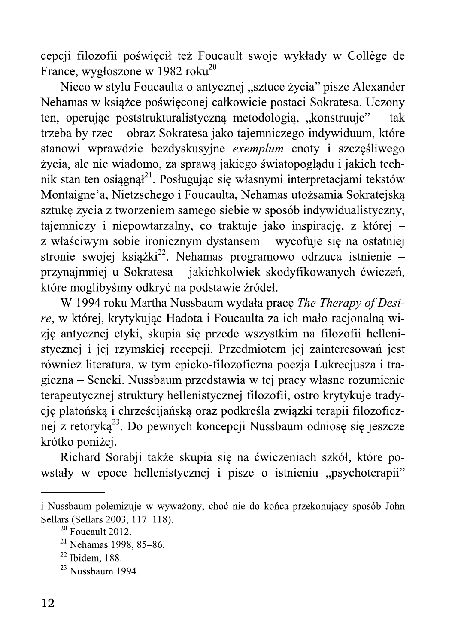cepcji filozofii poświęcił też Foucault swoje wykłady w Collège de France, wygłoszone w 1982 roku<sup>20</sup>

Nieco w stylu Foucaulta o antycznej "sztuce życia" pisze Alexander Nehamas w książce poświęconej całkowicie postaci Sokratesa. Uczony ten, operując poststrukturalistyczną metodologią, "konstruuje" – tak trzeba by rzec – obraz Sokratesa jako tajemniczego indywiduum, które stanowi wprawdzie bezdyskusyjne exemplum cnoty i szczęśliwego życia, ale nie wiadomo, za sprawą jakiego światopoglądu i jakich technik stan ten osiągnął<sup>21</sup>. Posługując się własnymi interpretacjami tekstów Montaigne'a, Nietzschego i Foucaulta, Nehamas utożsamia Sokratejską sztukę życia z tworzeniem samego siębie w sposób indywidualistyczny, tajemniczy i niepowtarzalny, co traktuje jako inspirację, z której – z właściwym sobie ironicznym dystansem – wycofuje się na ostatniej stronie swojej książki<sup>22</sup>. Nehamas programowo odrzuca istnienie – przynajmniej u Sokratesa – jakichkolwiek skodyfikowanych ćwiczeń, które moglibyśmy odkryć na podstawie źródeł.

W 1994 roku Martha Nussbaum wydała pracę The Therapy of Desire, w której, krytykując Hadota i Foucaulta za ich mało racjonalną wizję antycznej etyki, skupia się przede wszystkim na filozofii hellenistycznej i jej rzymskiej recepcji. Przedmiotem jej zainteresowań jest również literatura, w tym epicko-filozoficzna poezja Lukrecjusza i tragiczna – Seneki. Nussbaum przedstawia w tej pracy własne rozumienie terapeutycznej struktury hellenistycznej filozofii, ostro krytykuje tradycję platońską i chrześcijańską oraz podkreśla związki terapii filozoficznej z retoryką<sup>23</sup>. Do pewnych koncepcji Nussbaum odniosę się jeszcze krótko poniżej.

Richard Sorabji także skupia się na ćwiczeniach szkół, które powstały w epoce hellenistycznej i pisze o istnieniu "psychoterapii"

i Nussbaum polemizuje w wyważony, choć nie do końca przekonujący sposób John Sellars (Sellars 2003, 117–118).

 $20$  Foucault 2012.

 $21$  Nehamas 1998, 85-86.

 $22$  Ibidem, 188.

 $^{23}$  Nussbaum 1994.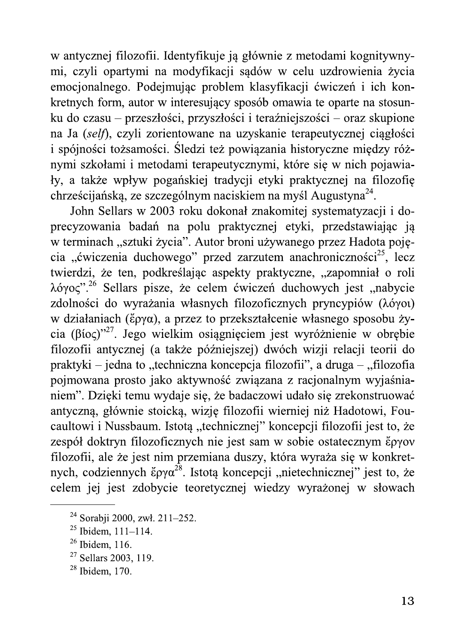w antycznej filozofii. Identyfikuje ją głównie z metodami kognitywnymi, czyli opartymi na modyfikacji sądów w celu uzdrowienia życia emocjonalnego. Podejmując problem klasyfikacji ćwiczeń i ich konkretnych form, autor w interesujący sposób omawia te oparte na stosunku do czasu – przeszłości, przyszłości i teraźniejszości – oraz skupione na Ja (self), czyli zorientowane na uzyskanie terapeutycznej ciągłości i spójności tożsamości. Śledzi też powiązania historyczne między różnymi szkołami i metodami terapeutycznymi, które się w nich pojawiały, a także wpływ pogańskiej tradycji etyki praktycznej na filozofię chrześcijańską, ze szczególnym naciskiem na myśl Augustyna<sup>24</sup>.

John Sellars w 2003 roku dokonał znakomitej systematyzacji i doprecyzowania badań na polu praktycznej etyki, przedstawiając ją w terminach "sztuki życia". Autor broni używanego przez Hadota pojęcia "ćwiczenia duchowego" przed zarzutem anachroniczności<sup>25</sup>, lecz twierdzi, że ten, podkreślając aspekty praktyczne, "zapomniał o roli  $\lambda$ όγος".<sup>26</sup> Sellars pisze, że celem ćwiczeń duchowych jest "nabycie zdolności do wyrażania własnych filozoficznych pryncypiów (λόγοι) w działaniach (ἔργα), a przez to przekształcenie własnego sposobu życia (βίος)"<sup>27</sup>. Jego wielkim osiągnięciem jest wyróżnienie w obrębie filozofii antycznej (a także późniejszej) dwóch wizji relacji teorii do praktyki – jedna to "techniczna koncepcja filozofii", a druga – "filozofia pojmowana prosto jako aktywność związana z racjonalnym wyjaśnianiem". Dzięki temu wydaje się, że badaczowi udało się zrekonstruować antyczną, głównie stoicką, wizję filozofii wierniej niż Hadotowi, Foucaultowi i Nussbaum. Istotą "technicznej" koncepcji filozofii jest to, że zespół doktryn filozoficznych nie jest sam w sobie ostatecznym έργον filozofii, ale że jest nim przemiana duszy, która wyraża się w konkretnych, codziennych  $\zeta \rho \gamma \alpha^{28}$ . Istotą koncepcji "nietechnicznej" jest to, że celem jej jest zdobycie teoretycznej wiedzy wyrażonej w słowach

<sup>&</sup>lt;sup>24</sup> Sorabji 2000, zwł. 211–252.

 $^{25}$  Ibidem, 111-114.

 $26$  Ibidem, 116.

 $27$  Sellars 2003, 119.

 $28$  Ibidem, 170.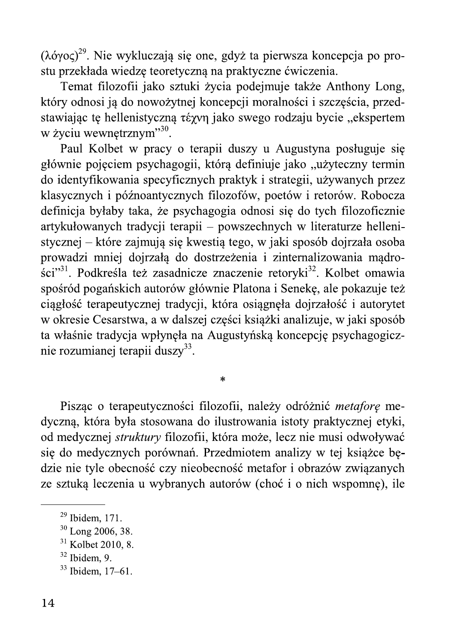$(\lambda$ όγος)<sup>29</sup>. Nie wykluczają się one, gdyż ta pierwsza koncepcja po prostu przekłada wiedzę teoretyczną na praktyczne ćwiczenia.

Temat filozofii jako sztuki życia podejmuje także Anthony Long, który odnosi ją do nowożytnej koncepcji moralności i szczęścia, przedstawiając tę hellenistyczną té zyn jako swego rodzaju bycie "ekspertem w życiu wewnętrznym"<sup>30</sup>.

Paul Kolbet w pracy o terapii duszy u Augustyna posługuje się głównie pojęciem psychagogii, którą definiuje jako "użyteczny termin do identyfikowania specyficznych praktyk i strategii, używanych przez klasycznych i późnoantycznych filozofów, poetów i retorów. Robocza definicja byłaby taka, że psychagogia odnosi się do tych filozoficznie artykułowanych tradycji terapii – powszechnych w literaturze hellenistycznej – które zajmują się kwestią tego, w jaki sposób dojrzała osoba prowadzi mniej dojrzałą do dostrzeżenia i zinternalizowania mądrości"<sup>31</sup>. Podkreśla też zasadnicze znaczenie retoryki<sup>32</sup>. Kolbet omawia spośród pogańskich autorów głównie Platona i Senekę, ale pokazuje też ciągłość terapeutycznej tradycji, która osiągnęła dojrzałość i autorytet w okresie Cesarstwa, a w dalszej części książki analizuje, w jaki sposób ta właśnie tradycja wpłynęła na Augustyńską koncepcję psychagogicznie rozumianej terapii duszy<sup>33</sup>.

Pisząc o terapeutyczności filozofii, należy odróżnić metaforę medyczną, która była stosowana do ilustrowania istoty praktycznej etyki, od medycznej struktury filozofii, która może, lecz nie musi odwoływać się do medycznych porównań. Przedmiotem analizy w tej książce będzie nie tyle obecność czy nieobecność metafor i obrazów związanych ze sztuką leczenia u wybranych autorów (choć i o nich wspomnę), ile

 $\ast$ 

 $29$  Ibidem, 171.

 $30$  Long 2006, 38.

 $31$  Kolbet 2010, 8.

 $32$  Ibidem, 9.

 $33$  Ibidem. 17–61.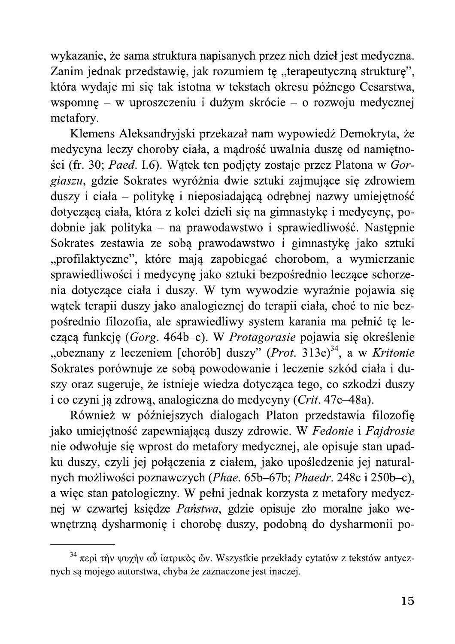wykazanie, że sama struktura napisanych przez nich dzieł jest medyczna. Zanim jednak przedstawię, jak rozumiem tę "terapeutyczną strukturę", która wydaje mi się tak istotna w tekstach okresu późnego Cesarstwa, wspomnę – w uproszczeniu i dużym skrócie – o rozwoju medycznej metafory.

Klemens Aleksandryjski przekazał nam wypowiedź Demokryta, że medycyna leczy choroby ciała, a mądrość uwalnia duszę od namiętności (fr. 30; Paed. I.6). Wątek ten podjęty zostaje przez Platona w Gorgiaszu, gdzie Sokrates wyróżnia dwie sztuki zajmujące się zdrowiem duszy i ciała – politykę i nieposiadającą odrębnej nazwy umiejętność dotyczącą ciała, która z kolei dzieli się na gimnastykę i medycynę, podobnie jak polityka – na prawodawstwo i sprawiedliwość. Następnie Sokrates zestawia ze sobą prawodawstwo i gimnastykę jako sztuki "profilaktyczne", które mają zapobiegać chorobom, a wymierzanie sprawiedliwości i medycynę jako sztuki bezpośrednio leczące schorzenia dotyczące ciała i duszy. W tym wywodzie wyraźnie pojawia się watek terapii duszy jako analogicznej do terapii ciała, choć to nie bezpośrednio filozofia, ale sprawiedliwy system karania ma pełnić tę leczącą funkcję (Gorg. 464b–c). W Protagorasie pojawia się określenie "obeznany z leczeniem [chorób] duszy" (Prot. 313e)<sup>34</sup>, a w Kritonie Sokrates porównuje ze sobą powodowanie i leczenie szkód ciała i duszy oraz sugeruje, że istnieje wiedza dotycząca tego, co szkodzi duszy i co czyni ją zdrową, analogiczna do medycyny (Crit. 47c–48a).

Również w późniejszych dialogach Platon przedstawia filozofie jako umiejętność zapewniającą duszy zdrowie. W Fedonie i Fajdrosie nie odwołuje się wprost do metafory medycznej, ale opisuje stan upadku duszy, czyli jej połączenia z ciałem, jako upośledzenie jej naturalnych możliwości poznawczych (Phae. 65b–67b; Phaedr. 248c i 250b–c), a więc stan patologiczny. W pełni jednak korzysta z metafory medycznej w czwartej księdze Państwa, gdzie opisuje zło moralne jako wewnętrzną dysharmonię i chorobę duszy, podobną do dysharmonii po-

<sup>&</sup>lt;sup>34</sup> περί την ψυχήν αὖ ιατρικός ὤν. Wszystkie przekłady cytatów z tekstów antycznych są mojego autorstwa, chyba że zaznaczone jest inaczej.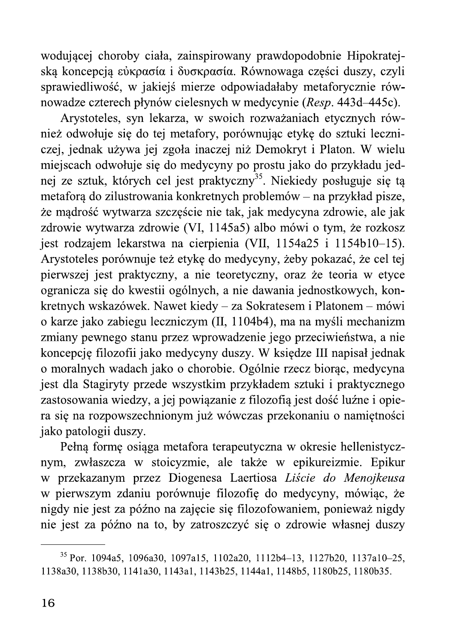wodującej choroby ciała, zainspirowany prawdopodobnie Hipokratejską koncepcją εὐκρασία i δυσκρασία. Równowaga części duszy, czyli dliwość, w jakiejś mierze odpowiadałaby metaforycznie i  $czterech$  płynów cielesnych w medycynie  $(Resp. 443d-445c)$ .

wodującej choroby ciała, zainspirowany prawdopodobnie Hipokratejską koncepcją εὐκρασία i δυσκρασία. Równowaga części duszy, czyli sprawiedliwość, w jakiejś mierze odpowiadałaby metaforycznie równowadze czterech płynów cie wodującej choroby ciała, zainspirowany prawdopodobnie Hipokratejską koncepcją εὐκρασία i δυσκρασία. Równowaga części duszy, czyli sprawiedliwość, w jakiejś mierze odpowiadałaby metaforycznie równowadze czterech płynów cie wodującej choroby ciała, zainspirowany prawską koncepcją εὐκρασία i δυσκρασία. Równow<br>sprawiedliwość, w jakiejś mierze odpowiadała<br>nowadze czterech płynów cielesnych w medycy<br>Arystoteles, syn lekarza, w swoich rozwa:<br>nież Arvstoteles, syn lekarza, w swoich rozważaniach ety wodującej choroby ciała, zainspirowany prawdopodobnie Hipokratejską koncepcją ciwpασία i δυσκρασία. Równowaga części duszy, czyli sprawiedliwość, w jakiejś mierze odpowiadałaby metaforycznie równowadze czterech płynów cie z odwołuje sie do tej metafory, porównując etyke do sztuki lecznioroby ciała, zainspirowany prawdopodobnie Hip<br>
εὐκρασία i δυσκρασία. Równowaga części dusz<br>
ć, w jakiejś mierze odpowiadałaby metaforyczn<br>
ech płynów cielesnych w medycynie (*Resp.* 443d-<br>
s, syn lekarza, w swoich rozważa czej, jednak używa jej zgoła inaczej niż Demokryt i Platon. W wielu miejscach odwołuje się do medycyny po prostu jako do przykładu jednej ze sztuk, których cel jest praktyczny<sup>35</sup>. Niekiedy posługuje się ta wodającej enoroty enant, zamsprowany<br>ską koncepcją εὐκρασία i δυσκρασία. R<br>sprawiedliwość, w jakiejś mierze odpov<br>nowadze czterech płynów cielesnych w n<br>Arystoteles, syn lekarza, w swoich<br>nież odwołuje się do tej metafory metafora do zilustrowania konkretnych problemów – na przykład pisze. iejś mierze odpowiadałaby metaforycznie rów-<br>iejś mierze odpowiadałaby metaforycznie rów-<br>św cielesnych w medycynie (Resp. 443d–445c).<br>karza, w swoich rozważaniach etycznych rów-<br>ej metafory, porównując etykę do sztuki le że madrość wytwarza szczeście nie tak, jak medycyna zdrowie, ale jak zdrowie wytwarza zdrowie (VI, 1145a5) albo mówi o tym, że rozkosz arza, w swoich rozważaniach etycznych rów-<br>j metafory, porównując etykę do sztuki leczni-<br>zgoła inaczej niż Demokryt i Platon. W wielu<br>do medycyny po prostu jako do przykładu jed-<br>el jest praktyczny<sup>35</sup>. Niekiedy posługuje iest rodzajem lekarstwa na cierpienia (VII, 1154a25 i 1154b10–15). Arystoteles porównuje też etyke do medycyny, żeby pokazać, że cel tej nez vavody się ao toj metanory, pore<br>czej, jednak używa jej zgoła inaczej ni<br>miejscach odwołuje się do medycyny po<br>nej ze sztuk, których cel jest praktyczr<br>metaforą do zilustrowania konkretnych j<br>że mądrość wytwarza szczęś pierwszej jest praktyczny, a nie teoretyczny, oraz że teoria w etyce ogranicza się do kwestii ogólnych, a nie dawania jednostkowych, konze sztuk, których cel jest praktyczny<sup>35</sup>. Niekiec<br>taforą do zilustrowania konkretnych problemów –<br>mądrość wytwarza szczęście nie tak, jak medycy<br>rowie wytwarza zdrowie (VI, 1145a5) albo mówi<br>t rodzajem lekarstwa na cierp kretnych wskazówek. Nawet kiedy – za Sokratesem i Platonem metaforą do zilustrowania konkretnych p<br>
że mądrość wytwarza szczęście nie tak,<br>
zdrowie wytwarza szczęście nie tak,<br>
zdrowie wytwarza zdrowie (VI, 1145a5<br>
jest rodzajem lekarstwa na cierpienia<br>
Arystoteles porównuje też e ze zaka, kuce je miestopie te jednom problemów – na przykład pisze,<br>metaforą do zilustrowania konkretnych problemów – na przykład pisze,<br>że mądrość wytwarza szczęście nie tak, jak medycyna zdrowie, ale jak<br>zdrowie wytwarza iako zabiegu leczniczym (II, 1104b4), ma na myśli mechanizm zmiany pewnego stanu przez wprowadzenie jego przeciwieństwa, a nie koncepcie filozofii jako medvcyny duszy. W ksiedze III napisał jednak o moralnych wadach jako o chorobie. Ogólnie rzecz biorac, medycyna Alestava na eterprema (\*11, 112 aust 1 112 brotom<br>
wnuje też etykę do medycyny, żeby pokazać, że caktyczny, a nie teoretyczny, oraz że teoria w k<br>
kwestii ogólnych, a nie dawania jednostkowych,<br>
wek. Nawet kiedy – za Sokr iest dla Stagiryty przede wszystkim przykładem sztuki i praktycznego zastosowania wiedzy, a jej powiazanie z filozofia jest dość luźne i opiera sie na rozpowszechnionym już wówczas przekonaniu o namietności et a hotsain egentyen, a me dawalna jednestnév<br>skazówek. Nawet kiedy – za Sokratesem i Platone<br>o zabiegu leczniczym (II, 1104b4), ma na myśli n<br>ynego stanu przez wprowadzenie jego przeciwień:<br>ilozofii jako medycyny duszy. jako patologii duszy.

Pełna forme osiaga metafora terapeutyczna w okresie hellenistycznym, zwłaszcza w stoicyzmie, ale także w epikureizmie. Epikur w przekazanym przez Diogenesa Laertiosa *Liście do Menoikeusa* w pierwszym zdaniu porównuje filozofie do med motamyen właden jako o enorobre. Ogomie rze<br>
st dla Stagiryty przede wszystkim przykładem s<br>
astosowania wiedzy, a jej powiązanie z filozofią ja<br>
a się na rozpowszechnionym już wówczas przekc<br>
ako patologii duszy.<br>
Pełną f e. Syome rzecz olonę, megycyna<br>przykładem sztuki i praktycznego<br>ie z filozofią jest dość luźne i opie-<br>ówczas przekonaniu o namiętności<br>apeutyczna w okresie hellenistycz-<br>e także w epikureizmie. Epikur<br>Laertiosa *Liście do* nigdy nie jest za późno na zajecie sie filozofowaniem, ponieważ nigdy post dia sudghyty przede wszystami przyki<br>zastosowania wiedzy, a jej powiązanie z filo<br>ra się na rozpowszechnionym już wówczas<br>jako patologii duszy.<br>Pełną formę osiąga metafora terapeutyc<br>nym, zwłaszcza w stoicyzmie, ale t nie jest za późno na to, by zatroszczyć się o zdrowie własnej duszy zastosowania wiedzy, a jej powiązanie z możoną jest cos<br>
ra się na rozpowszechnionym już wówczas przekonaniu<br>
jako patologii duszy.<br>
Pełną formę osiąga metafora terapeutyczna w okresie<br>
nym, zwłaszcza w stoicyzmie, ale tak  $\frac{J}{\sqrt{2}}$ 

 $35$  Por. 1094a5, 1096a30, 1097a15, 1102a20, 1112b4-13, 1127b20, 1137a10-25, 1138a30, 1138b30, 1141a30, 1143a1, 1143b25, 1144a1, 1148b5, 1180b25, 1180b35.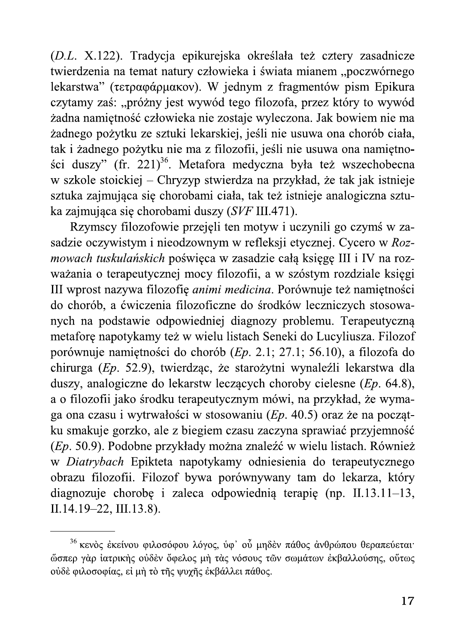(D.L. X.122). Tradycja epikurejska określała też cztery zasadnicze twierdzenia na temat natury człowieka i świata mianem "poczwórnego lekarstwa" (τετραφάρμακον). W jednym z fragmentów pism Epikura czytamy zaś: "próżny jest wywód tego filozofa, przez który to wywód żadna namiętność człowieka nie zostaje wyleczona. Jak bowiem nie ma żadnego pożytku ze sztuki lekarskiej, jeśli nie usuwa ona chorób ciała, tak i żadnego pożytku nie ma z filozofii, jeśli nie usuwa ona namiętności duszy" (fr. 221)<sup>36</sup>. Metafora medyczna była też wszechobecna w szkole stoickiej – Chryzyp stwierdza na przykład, że tak jak istnieje sztuka zajmująca się chorobami ciała, tak też istnieje analogiczna sztuka zajmująca się chorobami duszy (SVF III.471).

Rzymscy filozofowie przejęli ten motyw i uczynili go czymś w zasadzie oczywistym i nieodzownym w refleksji etycznej. Cycero w Rozmowach tuskulańskich poświęca w zasadzie całą księgę III i IV na rozważania o terapeutycznej mocy filozofii, a w szóstym rozdziale księgi III wprost nazywa filozofię *animi medicina*. Porównuje też namiętności do chorób, a ćwiczenia filozoficzne do środków leczniczych stosowanych na podstawie odpowiedniej diagnozy problemu. Terapeutyczną metaforę napotykamy też w wielu listach Seneki do Lucyliusza. Filozof porównuje namiętności do chorób (Ep. 2.1; 27.1; 56.10), a filozofa do chirurga (Ep. 52.9), twierdząc, że starożytni wynaleźli lekarstwa dla duszy, analogiczne do lekarstw leczących choroby cielesne  $(Ep. 64.8)$ , a o filozofii jako środku terapeutycznym mówi, na przykład, że wymaga ona czasu i wytrwałości w stosowaniu (Ep. 40.5) oraz że na początku smakuje gorzko, ale z biegiem czasu zaczyna sprawiać przyjemność (Ep. 50.9). Podobne przykłady można znaleźć w wielu listach. Również w Diatrybach Epikteta napotykamy odniesienia do terapeutycznego obrazu filozofii. Filozof bywa porównywany tam do lekarza, który diagnozuje chorobę i zaleca odpowiednią terapię (np.  $II.13.11-13$ , II.14.19-22, III.13.8).

<sup>&</sup>lt;sup>36</sup> κενός έκείνου φιλοσόφου λόγος, ύφ' ού μηδέν πάθος άνθρώπου θεραπεύεται· ώσπερ γάρ ιατρικής ούδεν όφελος μή τας νόσους των σωμάτων εκβαλλούσης, ούτως ούδε φιλοσοφίας, εί μή το της ψυχης εκβάλλει πάθος.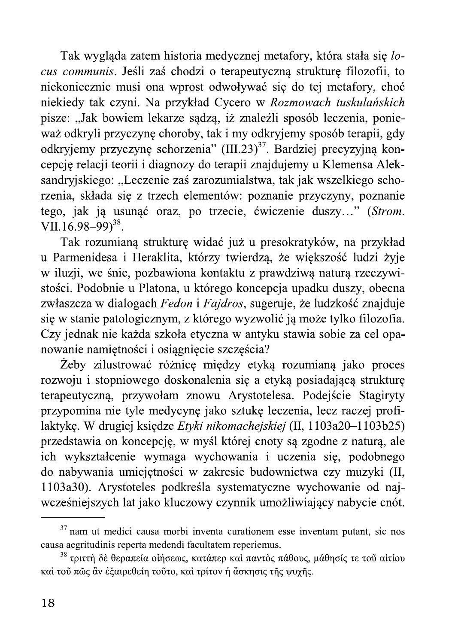Tak wygląda zatem historia medycznej metafory, która stała się locus communis. Jeśli zaś chodzi o terapeutyczną strukturę filozofii, to niekoniecznie musi ona wprost odwoływać się do tej metafory, choć niekiedy tak czyni. Na przykład Cycero w Rozmowach tuskulańskich pisze: "Jak bowiem lekarze sądzą, iż znaleźli sposób leczenia, ponieważ odkryli przyczynę choroby, tak i my odkryjemy sposób terapii, gdy odkryjemy przyczynę schorzenia" (III.23)<sup>37</sup>. Bardziej precyzyjną koncepcję relacji teorii i diagnozy do terapii znajdujemy u Klemensa Aleksandryjskiego: "Leczenie zaś zarozumialstwa, tak jak wszelkiego schorzenia, składa się z trzech elementów: poznanie przyczyny, poznanie tego, jak ją usunąć oraz, po trzecie, ćwiczenie duszy..." (Strom. VII.16.98–99 $3^{38}$ .

Tak rozumianą strukturę widać już u presokratyków, na przykład u Parmenidesa i Heraklita, którzy twierdzą, że większość ludzi żyje w iluzji, we śnie, pozbawiona kontaktu z prawdziwą naturą rzeczywistości. Podobnie u Platona, u którego koncepcja upadku duszy, obecna zwłaszcza w dialogach Fedon i Fajdros, sugeruje, że ludzkość znajduje się w stanie patologicznym, z którego wyzwolić ją może tylko filozofia. Czy jednak nie każda szkoła etyczna w antyku stawia sobie za cel opanowanie namiętności i osiągnięcie szczęścia?

Żeby zilustrować różnicę między etyką rozumianą jako proces rozwoju i stopniowego doskonalenia się a etyką posiadającą strukturę terapeutyczną, przywołam znowu Arystotelesa. Podejście Stagiryty przypomina nie tyle medycynę jako sztukę leczenia, lecz raczej profilaktykę. W drugiej księdze Etyki nikomachejskiej (II, 1103a20–1103b25) przedstawia on koncepcję, w myśl której cnoty są zgodne z naturą, ale ich wykształcenie wymaga wychowania i uczenia się, podobnego do nabywania umiejętności w zakresie budownictwa czy muzyki (II, 1103a30). Arystoteles podkreśla systematyczne wychowanie od najwcześniejszych lat jako kluczowy czynnik umożliwiający nabycie cnót.

<sup>&</sup>lt;sup>37</sup> nam ut medici causa morbi inventa curationem esse inventam putant, sic nos causa aegritudinis reperta medendi facultatem reperiemus.

<sup>&</sup>lt;sup>38</sup> τριττή δὲ θεραπεία οἰήσεως, κατάπερ καὶ παντὸς πάθους, μάθησίς τε τοῦ αἰτίου καί τοῦ πῶς ἂν ἐξαιρεθείη τοῦτο, καὶ τρίτον ἡ ἄσκησις τῆς ψυχῆς.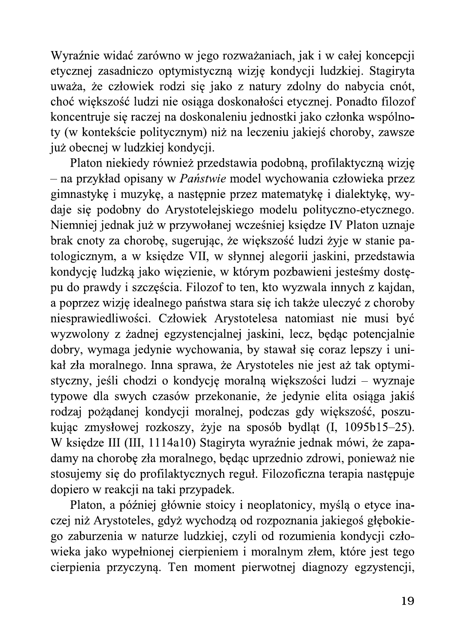Wyraźnie widać zarówno w jego rozważaniach, jak i w całej koncepcji etycznej zasadniczo optymistyczną wizję kondycji ludzkiej. Stagiryta uważa, że człowiek rodzi się jako z natury zdolny do nabycia cnót, choć większość ludzi nie osiąga doskonałości etycznej. Ponadto filozof koncentruje się raczej na doskonaleniu jednostki jako członka wspólnoty (w kontekście politycznym) niż na leczeniu jakiejś choroby, zawsze już obecnej w ludzkiej kondycji.

Platon niekiedy również przedstawia podobną, profilaktyczną wizję - na przykład opisany w Państwie model wychowania człowieka przez gimnastykę i muzykę, a następnie przez matematykę i dialektykę, wydaje się podobny do Arystotelejskiego modelu polityczno-etycznego. Niemniej jednak już w przywołanej wcześniej księdze IV Platon uznaje brak cnoty za chorobę, sugerując, że większość ludzi żyje w stanie patologicznym, a w księdze VII, w słynnej alegorii jaskini, przedstawia kondycję ludzką jako więzienie, w którym pozbawieni jesteśmy dostępu do prawdy i szczęścia. Filozof to ten, kto wyzwala innych z kajdan, a poprzez wizję idealnego państwa stara się ich także uleczyć z choroby niesprawiedliwości. Człowiek Arystotelesa natomiast nie musi być wyzwolony z żadnej egzystencjalnej jaskini, lecz, będąc potencjalnie dobry, wymaga jedynie wychowania, by stawał się coraz lepszy i unikał zła moralnego. Inna sprawa, że Arystoteles nie jest aż tak optymistyczny, jeśli chodzi o kondycję moralną większości ludzi – wyznaje typowe dla swych czasów przekonanie, że jedynie elita osiąga jakiś rodzaj pożądanej kondycji moralnej, podczas gdy większość, poszukując zmysłowej rozkoszy, żyje na sposób bydląt (I, 1095b15–25). W księdze III (III, 1114a10) Stagiryta wyraźnie jednak mówi, że zapadamy na chorobę zła moralnego, będąc uprzednio zdrowi, ponieważ nie stosujemy się do profilaktycznych reguł. Filozoficzna terapia następuje dopiero w reakcji na taki przypadek.

Platon, a później głównie stoicy i neoplatonicy, myślą o etyce inaczej niż Arystoteles, gdyż wychodzą od rozpoznania jakiegoś głębokiego zaburzenia w naturze ludzkiej, czyli od rozumienia kondycji człowieka jako wypełnionej cierpieniem i moralnym złem, które jest tego cierpienia przyczyną. Ten moment pierwotnej diagnozy egzystencji,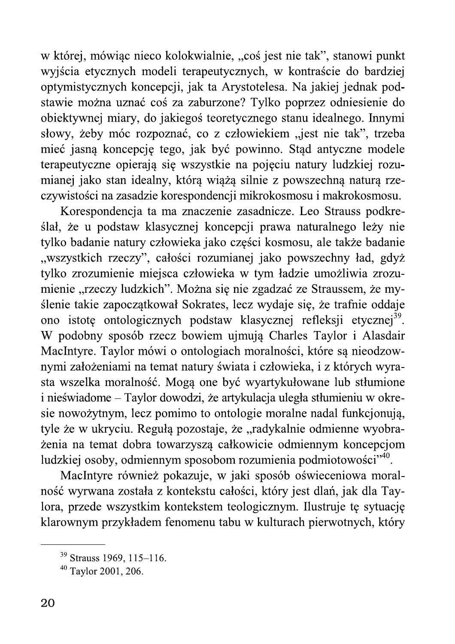w której, mówiąc nieco kolokwialnie, "coś jest nie tak", stanowi punkt wyjścia etycznych modeli terapeutycznych, w kontraście do bardziej optymistycznych koncepcji, jak ta Arystotelesa. Na jakiej jednak podstawie można uznać coś za zaburzone? Tylko poprzez odniesienie do obiektywnej miary, do jakiegoś teoretycznego stanu idealnego. Innymi słowy, żeby móc rozpoznać, co z człowiekiem "jest nie tak", trzeba mieć jasną koncepcję tego, jak być powinno. Stąd antyczne modele terapeutyczne opierają się wszystkie na pojęciu natury ludzkiej rozumianej jako stan idealny, którą wiążą silnie z powszechną naturą rzeczywistości na zasadzie korespondencji mikrokosmosu i makrokosmosu.

Korespondencia ta ma znaczenie zasadnicze. Leo Strauss podkreślał, że u podstaw klasycznej koncepcji prawa naturalnego leży nie tylko badanie natury człowieka jako części kosmosu, ale także badanie "wszystkich rzeczy", całości rozumianej jako powszechny ład, gdyż tylko zrozumienie miejsca człowieka w tym ładzie umożliwia zrozumienie "rzeczy ludzkich". Można się nie zgadzać ze Straussem, że myślenie takie zapoczątkował Sokrates, lecz wydaje się, że trafnie oddaje ono istotę ontologicznych podstaw klasycznej refleksji etycznej<sup>39</sup>. W podobny sposób rzecz bowiem ujmują Charles Taylor i Alasdair MacIntyre. Taylor mówi o ontologiach moralności, które są nieodzownymi założeniami na temat natury świata i człowieka, i z których wyrasta wszelka moralność. Mogą one być wyartykułowane lub stłumione i nieświadome – Taylor dowodzi, że artykulacja uległa stłumieniu w okresie nowożytnym, lecz pomimo to ontologie moralne nadal funkcjonują, tyle że w ukryciu. Regułą pozostaje, że "radykalnie odmienne wyobrażenia na temat dobra towarzyszą całkowicie odmiennym koncepcjom ludzkiej osoby, odmiennym sposobom rozumienia podmiotowości"<sup>40</sup>.

MacIntyre również pokazuje, w jaki sposób oświeceniowa moralność wyrwana została z kontekstu całości, który jest dlań, jak dla Taylora, przede wszystkim kontekstem teologicznym. Ilustruje tę sytuację klarownym przykładem fenomenu tabu w kulturach pierwotnych, który

<sup>&</sup>lt;sup>39</sup> Strauss 1969, 115-116.

 $40$  Taylor 2001, 206.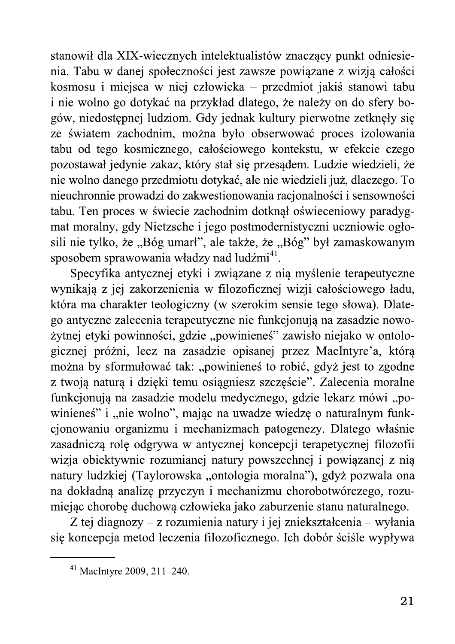stanowił dla XIX-wiecznych intelektualistów znaczący punkt odniesienia. Tabu w danej społeczności jest zawsze powiązane z wizją całości kosmosu i miejsca w niej człowieka – przedmiot jakiś stanowi tabu i nie wolno go dotykać na przykład dlatego, że należy on do sfery bogów, niedostępnej ludziom. Gdy jednak kultury pierwotne zetknęły się ze światem zachodnim, można było obserwować proces izolowania tabu od tego kosmicznego, całościowego kontekstu, w efekcie czego pozostawał jedynie zakaz, który stał się przesądem. Ludzie wiedzieli, że nie wolno danego przedmiotu dotykać, ale nie wiedzieli już, dlaczego. To nieuchronnie prowadzi do zakwestionowania racjonalności i sensowności tabu. Ten proces w świecie zachodnim dotknął oświeceniowy paradygmat moralny, gdy Nietzsche i jego postmodernistyczni uczniowie ogłosili nie tylko, że "Bóg umarł", ale także, że "Bóg" był zamaskowanym sposobem sprawowania władzy nad ludźmi41.

Specyfika antycznej etyki i związane z nią myślenie terapeutyczne wynikają z jej zakorzenienia w filozoficznej wizji całościowego ładu, która ma charakter teologiczny (w szerokim sensie tego słowa). Dlatego antyczne zalecenia terapeutyczne nie funkcjonują na zasadzie nowożytnej etyki powinności, gdzie "powinieneś" zawisło niejako w ontologicznej próżni, lecz na zasadzie opisanej przez MacIntyre'a, którą można by sformułować tak: "powinieneś to robić, gdyż jest to zgodne z twoją naturą i dzięki temu osiągniesz szczęście". Zalecenia moralne funkcjonują na zasadzie modelu medycznego, gdzie lekarz mówi "powinieneś" i "nie wolno", mając na uwadze wiedzę o naturalnym funkcjonowaniu organizmu i mechanizmach patogenezy. Dlatego właśnie zasadniczą rolę odgrywa w antycznej koncepcji terapetycznej filozofii wizja obiektywnie rozumianej natury powszechnej i powiązanej z nią natury ludzkiej (Taylorowska "ontologia moralna"), gdyż pozwala ona na dokładną analizę przyczyn i mechanizmu chorobotwórczego, rozumiejąc chorobę duchową człowieka jako zaburzenie stanu naturalnego.

Z tej diagnozy – z rozumienia natury i jej zniekształcenia – wyłania się koncepcja metod leczenia filozoficznego. Ich dobór ściśle wypływa

 $41$  MacIntyre 2009, 211-240.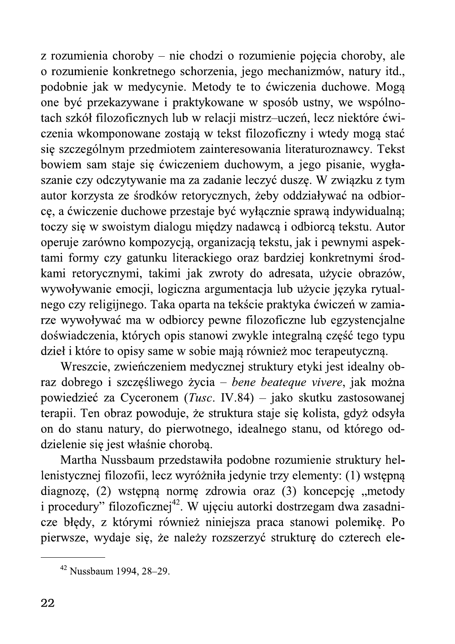z rozumienia choroby – nie chodzi o rozumienie pojęcia choroby, ale o rozumienie konkretnego schorzenia, jego mechanizmów, natury itd., podobnie jak w medycynie. Metody te to ćwiczenia duchowe. Mogą one być przekazywane i praktykowane w sposób ustny, we wspólnotach szkół filozoficznych lub w relacji mistrz-uczeń, lecz niektóre ćwiczenia wkomponowane zostają w tekst filozoficzny i wtedy mogą stać się szczególnym przedmiotem zainteresowania literaturoznawcy. Tekst bowiem sam staje się ćwiczeniem duchowym, a jego pisanie, wygłaszanie czy odczytywanie ma za zadanie leczyć duszę. W związku z tym autor korzysta ze środków retorycznych, żeby oddziaływać na odbiorcę, a ćwiczenie duchowe przestaje być wyłącznie sprawą indywidualną; toczy się w swoistym dialogu między nadawcą i odbiorcą tekstu. Autor operuje zarówno kompozycją, organizacją tekstu, jak i pewnymi aspektami formy czy gatunku literackiego oraz bardziej konkretnymi środkami retorycznymi, takimi jak zwroty do adresata, użycie obrazów, wywoływanie emocji, logiczna argumentacja lub użycie języka rytualnego czy religijnego. Taka oparta na tekście praktyka ćwiczeń w zamiarze wywoływać ma w odbiorcy pewne filozoficzne lub egzystencjalne doświadczenia, których opis stanowi zwykle integralną część tego typu dzieł i które to opisy same w sobie mają również moc terapeutyczną.

Wreszcie, zwieńczeniem medycznej struktury etyki jest idealny obraz dobrego i szczęśliwego życia – bene beateque vivere, jak można powiedzieć za Cyceronem (Tusc. IV.84) – jako skutku zastosowanej terapii. Ten obraz powoduje, że struktura staje się kolista, gdyż odsyła on do stanu natury, do pierwotnego, idealnego stanu, od którego oddzielenie się jest właśnie chorobą.

Martha Nussbaum przedstawiła podobne rozumienie struktury hellenistycznej filozofii, lecz wyróżniła jedynie trzy elementy: (1) wstępną diagnozę, (2) wstępną normę zdrowia oraz (3) koncepcję "metody i procedury" filozoficznej<sup>42</sup>. W ujęciu autorki dostrzegam dwa zasadnicze błędy, z którymi również niniejsza praca stanowi polemikę. Po pierwsze, wydaje się, że należy rozszerzyć strukturę do czterech ele-

<sup>&</sup>lt;sup>42</sup> Nussbaum 1994, 28-29.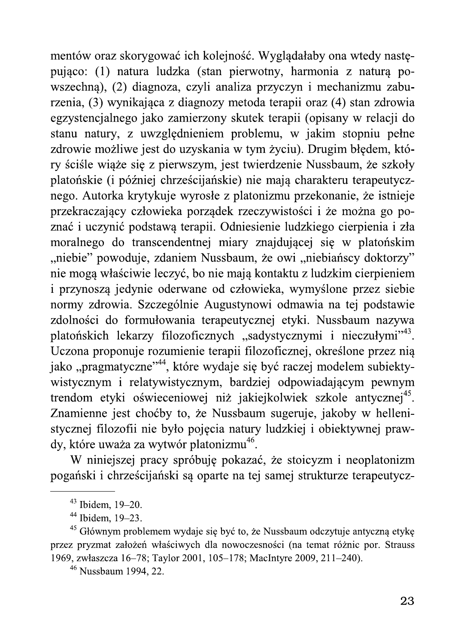mentów oraz skorygować ich kolejność. Wyglądałaby ona wtedy następująco: (1) natura ludzka (stan pierwotny, harmonia z naturą powszechną), (2) diagnoza, czyli analiza przyczyn i mechanizmu zaburzenia, (3) wynikająca z diagnozy metoda terapii oraz (4) stan zdrowia egzystencjalnego jako zamierzony skutek terapii (opisany w relacji do stanu natury, z uwzględnieniem problemu, w jakim stopniu pełne zdrowie możliwe jest do uzyskania w tym życiu). Drugim błędem, który ściśle wiąże się z pierwszym, jest twierdzenie Nussbaum, że szkoły platońskie (i później chrześcijańskie) nie mają charakteru terapeutycznego. Autorka krytykuje wyrosłe z platonizmu przekonanie, że istnieje przekraczający człowieka porządek rzeczywistości i że można go poznać i uczynić podstawą terapii. Odniesienie ludzkiego cierpienia i zła moralnego do transcendentnej miary znajdującej się w platońskim "niebie" powoduje, zdaniem Nussbaum, że owi "niebiańscy doktorzy" nie mogą właściwie leczyć, bo nie mają kontaktu z ludzkim cierpieniem i przynoszą jedynie oderwane od człowieka, wymyślone przez siebie normy zdrowia. Szczególnie Augustynowi odmawia na tej podstawie zdolności do formułowania terapeutycznej etyki. Nussbaum nazywa platońskich lekarzy filozoficznych "sadystycznymi i nieczułymi"<sup>43</sup>. Uczona proponuje rozumienie terapii filozoficznej, określone przez nią jako "pragmatyczne"<sup>44</sup>, które wydaje się być raczej modelem subiektywistycznym i relatywistycznym, bardziej odpowiadającym pewnym trendom etyki oświeceniowej niż jakiejkolwiek szkole antycznej<sup>45</sup>. Znamienne jest choćby to, że Nussbaum sugeruje, jakoby w hellenistycznej filozofii nie było pojęcia natury ludzkiej i obiektywnej prawdy, które uważa za wytwór platonizmu<sup>46</sup>.

W niniejszej pracy spróbuję pokazać, że stoicyzm i neoplatonizm pogański i chrześcijański są oparte na tej samej strukturze terapeutycz-

 $43$  Ibidem, 19-20.

 $44$  Ibidem. 19–23.

<sup>&</sup>lt;sup>45</sup> Głównym problemem wydaje się być to, że Nussbaum odczytuje antyczną etykę przez pryzmat założeń właściwych dla nowoczesności (na temat różnic por. Strauss 1969, zwłaszcza 16–78; Taylor 2001, 105–178; MacIntyre 2009, 211–240).

<sup>&</sup>lt;sup>46</sup> Nussbaum 1994, 22.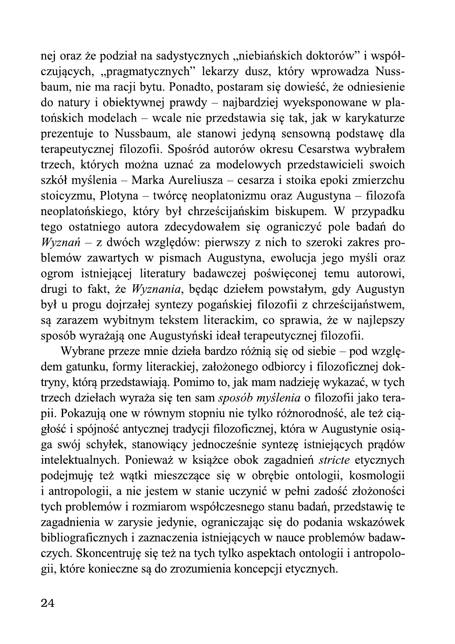nej oraz że podział na sadystycznych "niebiańskich doktorów" i współczujących, "pragmatycznych" lekarzy dusz, który wprowadza Nussbaum, nie ma racji bytu. Ponadto, postaram się dowieść, że odniesienie do natury i obiektywnej prawdy – najbardziej wyeksponowane w platońskich modelach – wcale nie przedstawia się tak, jak w karykaturze prezentuje to Nussbaum, ale stanowi jedyną sensowną podstawę dla terapeutycznej filozofii. Spośród autorów okresu Cesarstwa wybrałem trzech, których można uznać za modelowych przedstawicieli swoich szkół myślenia – Marka Aureliusza – cesarza i stoika epoki zmierzchu stoicyzmu, Plotyna – twórcę neoplatonizmu oraz Augustyna – filozofa neoplatońskiego, który był chrześcijańskim biskupem. W przypadku tego ostatniego autora zdecydowałem się ograniczyć pole badań do Wyznań – z dwóch względów: pierwszy z nich to szeroki zakres problemów zawartych w pismach Augustyna, ewolucja jego myśli oraz ogrom istniejącej literatury badawczej poświęconej temu autorowi, drugi to fakt, że Wyznania, będąc dziełem powstałym, gdy Augustyn był u progu dojrzałej syntezy pogańskiej filozofii z chrześcijaństwem, są zarazem wybitnym tekstem literackim, co sprawia, że w najlepszy sposób wyrażają one Augustyński ideał terapeutycznej filozofii.

Wybrane przeze mnie dzieła bardzo różnią się od siebie – pod względem gatunku, formy literackiej, założonego odbiorcy i filozoficznej doktryny, którą przedstawiają. Pomimo to, jak mam nadzieję wykazać, w tych trzech dziełach wyraża się ten sam sposób myślenia o filozofii jako terapii. Pokazują one w równym stopniu nie tylko różnorodność, ale też ciągłość i spójność antycznej tradycji filozoficznej, która w Augustynie osiąga swój schyłek, stanowiący jednocześnie syntezę istniejących prądów intelektualnych. Ponieważ w książce obok zagadnień stricte etycznych podejmuje też wątki mieszczące się w obrębie ontologii, kosmologii i antropologii, a nie jestem w stanie uczynić w pełni zadość złożoności tych problemów i rozmiarom współczesnego stanu badań, przedstawię te zagadnienia w zarysie jedynie, ograniczając się do podania wskazówek bibliograficznych i zaznaczenia istniejących w nauce problemów badawczych. Skoncentruję się też na tych tylko aspektach ontologii i antropologii, które konieczne są do zrozumienia koncepcji etycznych.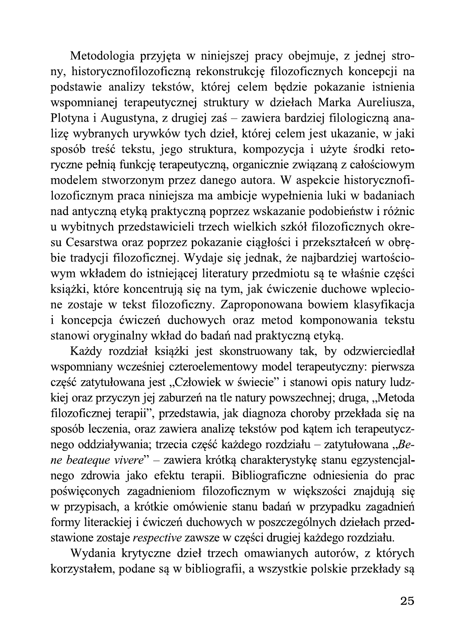Metodologia przyjęta w niniejszej pracy obejmuje, z jednej strony, historycznofilozoficzną rekonstrukcję filozoficznych koncepcji na podstawie analizy tekstów, której celem będzie pokazanie istnienia wspomnianej terapeutycznej struktury w dziełach Marka Aureliusza, Plotyna i Augustyna, z drugiej zaś – zawiera bardziej filologiczną analizę wybranych urywków tych dzieł, której celem jest ukazanie, w jaki sposób treść tekstu, jego struktura, kompozycja i użyte środki retoryczne pełnią funkcję terapeutyczną, organicznie związaną z całościowym modelem stworzonym przez danego autora. W aspekcie historycznofilozoficznym praca niniejsza ma ambicje wypełnienia luki w badaniach nad antyczną etyką praktyczną poprzez wskazanie podobieństw i różnic u wybitnych przedstawicieli trzech wielkich szkół filozoficznych okresu Cesarstwa oraz poprzez pokazanie ciągłości i przekształceń w obrębie tradycji filozoficznej. Wydaje się jednak, że najbardziej wartościowym wkładem do istniejącej literatury przedmiotu są te właśnie części książki, które koncentrują się na tym, jak ćwiczenie duchowe wplecione zostaje w tekst filozoficzny. Zaproponowana bowiem klasyfikacja i koncepcja ćwiczeń duchowych oraz metod komponowania tekstu stanowi oryginalny wkład do badań nad praktyczną etyką.

Każdy rozdział książki jest skonstruowany tak, by odzwierciedlał wspomniany wcześniej czteroelementowy model terapeutyczny: pierwsza część zatytułowana jest "Człowiek w świecie" i stanowi opis natury ludzkiej oraz przyczyn jej zaburzeń na tle natury powszechnej; druga, "Metoda filozoficznej terapii", przedstawia, jak diagnoza choroby przekłada się na sposób leczenia, oraz zawiera analizę tekstów pod kątem ich terapeutycznego oddziaływania; trzecia część każdego rozdziału – zatytułowana "Bene beateque vivere" - zawiera krótką charakterystykę stanu egzystencjalnego zdrowia jako efektu terapii. Bibliograficzne odniesienia do prac poświęconych zagadnieniom filozoficznym w większości znajdują się w przypisach, a krótkie omówienie stanu badań w przypadku zagadnień formy literackiej i ćwiczeń duchowych w poszczególnych dziełach przedstawione zostaje respective zawsze w części drugiej każdego rozdziału.

Wydania krytyczne dzieł trzech omawianych autorów, z których korzystałem, podane są w bibliografii, a wszystkie polskie przekłady są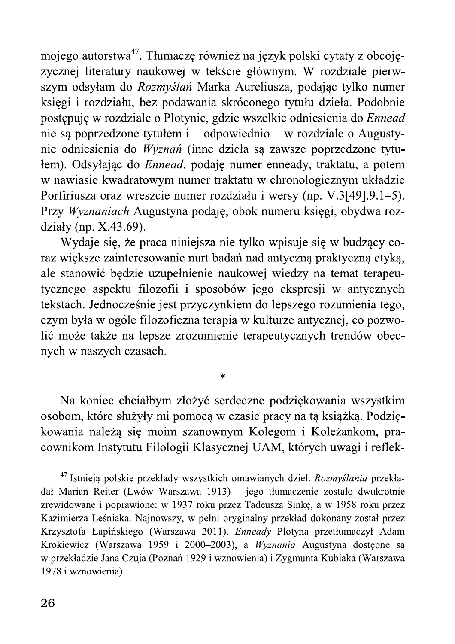mojego autorstwa<sup>47</sup>. Tłumaczę również na język polski cytaty z obcojęzycznej literatury naukowej w tekście głównym. W rozdziale pierwszym odsyłam do Rozmyślań Marka Aureliusza, podając tylko numer księgi i rozdziału, bez podawania skróconego tytułu dzieła. Podobnie postępuję w rozdziale o Plotynie, gdzie wszelkie odniesienia do Ennead nie są poprzedzone tytułem i – odpowiednio – w rozdziale o Augustynie odniesienia do Wyznań (inne dzieła są zawsze poprzedzone tytułem). Odsyłając do *Ennead*, podaję numer enneady, traktatu, a potem w nawiasie kwadratowym numer traktatu w chronologicznym układzie Porfiriusza oraz wreszcie numer rozdziału i wersy (np. V.3[49].9.1–5). Przy Wyznaniach Augustyna podaję, obok numeru księgi, obydwa rozdziały (np.  $X.43.69$ ).

Wydaje się, że praca niniejsza nie tylko wpisuje się w budzący coraz większe zainteresowanie nurt badań nad antyczną praktyczną etyką, ale stanowić będzie uzupełnienie naukowej wiedzy na temat terapeutycznego aspektu filozofii i sposobów jego ekspresji w antycznych tekstach. Jednocześnie jest przyczynkiem do lepszego rozumienia tego, czym była w ogóle filozoficzna terapia w kulturze antycznej, co pozwolić może także na lepsze zrozumienie terapeutycznych trendów obecnych w naszych czasach.

Na koniec chciałbym złożyć serdeczne podziękowania wszystkim osobom, które służyły mi pomocą w czasie pracy na tą książką. Podziękowania należą się moim szanownym Kolegom i Koleżankom, pracownikom Instytutu Filologii Klasycznej UAM, których uwagi i reflek-

 $\ast$ 

<sup>&</sup>lt;sup>47</sup> Istnieją polskie przekłady wszystkich omawianych dzieł. Rozmyślania przekładał Marian Reiter (Lwów-Warszawa 1913) – jego tłumaczenie zostało dwukrotnie zrewidowane i poprawione: w 1937 roku przez Tadeusza Sinkę, a w 1958 roku przez Kazimierza Leśniaka. Najnowszy, w pełni oryginalny przekład dokonany został przez Krzysztofa Łapińskiego (Warszawa 2011). Enneady Plotyna przetłumaczył Adam Krokiewicz (Warszawa 1959 i 2000–2003), a *Wyznania* Augustyna dostępne są w przekładzie Jana Czuja (Poznań 1929 i wznowienia) i Zygmunta Kubiaka (Warszawa 1978 i wznowienia).